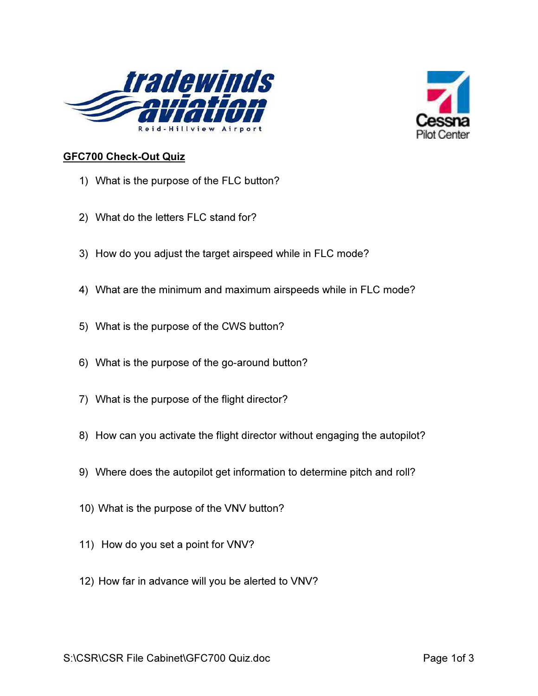



## GFC700 Check-Out Quiz

- 1) What is the purpose of the FLC button?
- 2) What do the letters FLC stand for?
- 3) How do you adjust the target airspeed while in FLC mode?
- 4) What are the minimum and maximum airspeeds while in FLC mode?
- 5) What is the purpose of the CWS button?
- 6) What is the purpose of the go-around button?
- 7) What is the purpose of the flight director?
- 8) How can you activate the flight director without engaging the autopilot?
- 9) Where does the autopilot get information to determine pitch and roll?
- 10) What is the purpose of the VNV button?
- 11) How do you set a point for VNV?
- 12) How far in advance will you be alerted to VNV?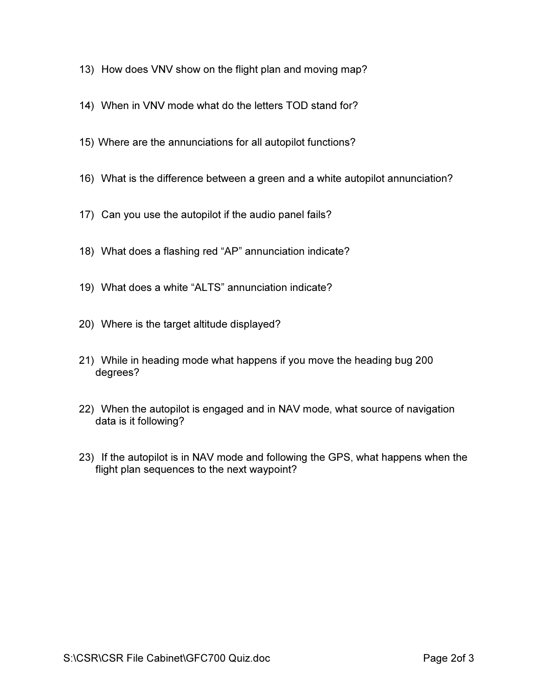- 13) How does VNV show on the flight plan and moving map?
- 14) When in VNV mode what do the letters TOD stand for?
- 15) Where are the annunciations for all autopilot functions?
- 16) What is the difference between a green and a white autopilot annunciation?
- 17) Can you use the autopilot if the audio panel fails?
- 18) What does a flashing red "AP" annunciation indicate?
- 19) What does a white "ALTS" annunciation indicate?
- 20) Where is the target altitude displayed?
- 21) While in heading mode what happens if you move the heading bug 200 degrees?
- 22) When the autopilot is engaged and in NAV mode, what source of navigation data is it following?
- 23) If the autopilot is in NAV mode and following the GPS, what happens when the flight plan sequences to the next waypoint?